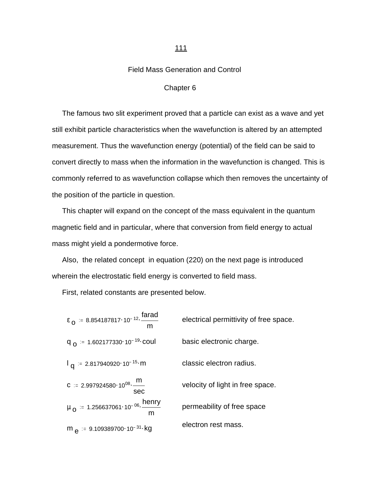## Field Mass Generation and Control

## Chapter 6

 The famous two slit experiment proved that a particle can exist as a wave and yet still exhibit particle characteristics when the wavefunction is altered by an attempted measurement. Thus the wavefunction energy (potential) of the field can be said to convert directly to mass when the information in the wavefunction is changed. This is commonly referred to as wavefunction collapse which then removes the uncertainty of the position of the particle in question.

 This chapter will expand on the concept of the mass equivalent in the quantum magnetic field and in particular, where that conversion from field energy to actual mass might yield a pondermotive force.

 Also, the related concept in equation (220) on the next page is introduced wherein the electrostatic field energy is converted to field mass.

First, related constants are presented below.

| $\epsilon_0 = 8.854187817 \cdot 10^{-12} \cdot \frac{\text{farad}}{\text{arad}}$<br>m | electrical permittivity of free space. |
|---------------------------------------------------------------------------------------|----------------------------------------|
| $q_{\Omega}$ = 1.602177330 10 <sup>-19</sup> coul                                     | basic electronic charge.               |
| $1_{\alpha}$ = 2.817940920 10 <sup>-15</sup> m                                        | classic electron radius.               |
| <b>C</b> := 2.997924580.10 <sup>08</sup> $\frac{m}{m}$<br>sec                         | velocity of light in free space.       |
| $\mu_{Q}$ = 1.256637061.10 <sup>-06</sup> . <u>henry</u><br>m                         | permeability of free space             |
| m $_{\text{e}}$ = 9.109389700 · 10 <sup>-31</sup> · kg                                | electron rest mass.                    |

## 111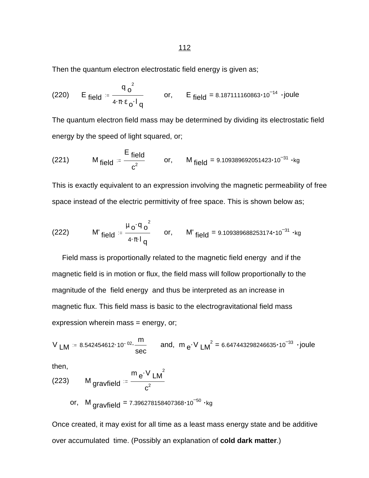Then the quantum electron electrostatic field energy is given as;

(220) E field = 
$$
\frac{q_0^2}{4 \pi \epsilon_0! q}
$$
 or, E field = 8.187111160863·10<sup>-14</sup> ·joule

The quantum electron field mass may be determined by dividing its electrostatic field energy by the speed of light squared, or;

(221) 
$$
M_{\text{field}} = \frac{E_{\text{field}}}{c^2}
$$
 or,  $M_{\text{field}} = 9.109389692051423 \cdot 10^{-31} \cdot \text{kg}$ 

This is exactly equivalent to an expression involving the magnetic permeability of free space instead of the electric permittivity of free space. This is shown below as;

(222) 
$$
M'_{field} = \frac{\mu_0 \cdot q_0^2}{4 \cdot \pi \cdot l_q} \quad or, \quad M'_{field} = 9.109389688253174 \cdot 10^{-31} \cdot kg
$$

 Field mass is proportionally related to the magnetic field energy and if the magnetic field is in motion or flux, the field mass will follow proportionally to the magnitude of the field energy and thus be interpreted as an increase in magnetic flux. This field mass is basic to the electrogravitational field mass expression wherein mass = energy, or;

$$
V_{LM} = 8.542454612 \cdot 10^{-02} \cdot \frac{m}{sec}
$$
 and,  $m_e \cdot V_{LM}^2 = 6.647443298246635 \cdot 10^{-33} \cdot joule$ 

then,

(223) M gravfield = 
$$
\frac{m e^{V} L M^2}{c^2}
$$
  
or, M gravfield = 7.396278158407368·10<sup>-50</sup> · kg

Once created, it may exist for all time as a least mass energy state and be additive over accumulated time. (Possibly an explanation of **cold dark matter**.)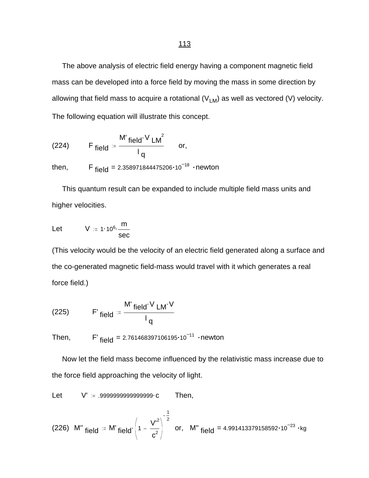The above analysis of electric field energy having a component magnetic field mass can be developed into a force field by moving the mass in some direction by allowing that field mass to acquire a rotational  $(V_{LM})$  as well as vectored (V) velocity. The following equation will illustrate this concept.

(224) F field = 
$$
\frac{M' \text{ field} \cdot V \text{ L}M^2}{I_q} \text{ or,}
$$

then, F  $_{\text{field}}$  = 2.358971844475206 $\cdot$ 10<sup>-18</sup> · newton

 This quantum result can be expanded to include multiple field mass units and higher velocities.

$$
Let \tV := 1.10^6 \cdot \frac{m}{sec}
$$

(This velocity would be the velocity of an electric field generated along a surface and the co-generated magnetic field-mass would travel with it which generates a real force field.)

(225) 
$$
F'_{field} = \frac{M'_{field} \cdot V_{LM} \cdot V}{I_q}
$$

Then,  $F'_{field} = 2.761468397106195 \cdot 10^{-11}$  newton

 Now let the field mass become influenced by the relativistic mass increase due to the force field approaching the velocity of light.

Let V' = .9999999999999999999 c Then,

(226) M" field 
$$
= M'
$$
 field  $\left(1 - \frac{V'^2}{c^2}\right)^{-\frac{1}{2}}$  or, M" field = 4.991413379158592·10<sup>-23</sup> · kg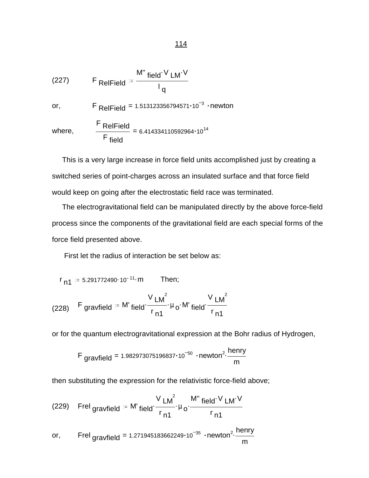(227) 
$$
F_{\text{RelField}} = \frac{M'' \text{ field} \cdot V \text{ LM} \cdot V}{I_q}
$$
\nor,  
\n
$$
F_{\text{RelField}} = 1.513123356794571 \cdot 10^{-3} \cdot \text{newton}
$$
\nwhere,  
\n
$$
\frac{F_{\text{RelField}}}{F_{\text{field}}} = 6.414334110592964 \cdot 10^{14}
$$

 This is a very large increase in force field units accomplished just by creating a switched series of point-charges across an insulated surface and that force field would keep on going after the electrostatic field race was terminated.

 The electrogravitational field can be manipulated directly by the above force-field process since the components of the gravitational field are each special forms of the force field presented above.

First let the radius of interaction be set below as:

$$
r_{n1} = 5.291772490 \cdot 10^{-11} \cdot m
$$
 Then;

(228) F gravfield = M' field 
$$
\frac{V}{r_{n1}} \mu_0 \cdot M'
$$
 field  $\frac{V}{r_{n1}}$ 

or for the quantum electrogravitational expression at the Bohr radius of Hydrogen,

$$
F_{gravfield} = 1.982973075196837 \cdot 10^{-50} \cdot newton^2 \cdot \frac{henry}{m}
$$

then substituting the expression for the relativistic force-field above;

(229) Fred gravfield = M' field 
$$
\frac{V L M^2}{r_{n1}} \mu_0 \frac{M'' \text{ field'} V L M'V}{r_{n1}}
$$

or, Frel  $_{\rm{gravfield}}$  = 1.271945183662249 $\cdot$ 10 $^{-35}$   $\cdot$ newton $^{2} \cdot \frac{\rm{henny}}{\rm{m}}$ m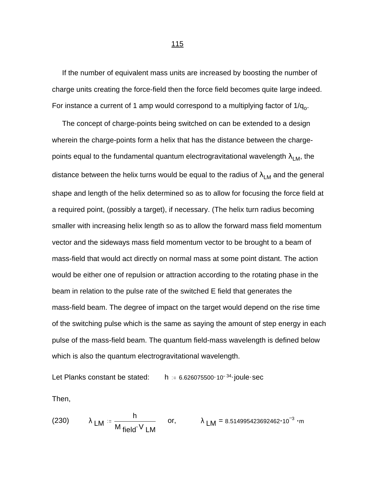If the number of equivalent mass units are increased by boosting the number of charge units creating the force-field then the force field becomes quite large indeed. For instance a current of 1 amp would correspond to a multiplying factor of 1/q<sub>o</sub>.

 The concept of charge-points being switched on can be extended to a design wherein the charge-points form a helix that has the distance between the chargepoints equal to the fundamental quantum electrogravitational wavelength  $\lambda_{LM}$ , the distance between the helix turns would be equal to the radius of  $\lambda_{LM}$  and the general shape and length of the helix determined so as to allow for focusing the force field at a required point, (possibly a target), if necessary. (The helix turn radius becoming smaller with increasing helix length so as to allow the forward mass field momentum vector and the sideways mass field momentum vector to be brought to a beam of mass-field that would act directly on normal mass at some point distant. The action would be either one of repulsion or attraction according to the rotating phase in the beam in relation to the pulse rate of the switched E field that generates the mass-field beam. The degree of impact on the target would depend on the rise time of the switching pulse which is the same as saying the amount of step energy in each pulse of the mass-field beam. The quantum field-mass wavelength is defined below which is also the quantum electrogravitational wavelength.

Let Planks constant be stated:  $h = 6.626075500 \cdot 10^{-34}$  joule sec

Then,

(230) 
$$
\lambda_{LM} = \frac{h}{M_{field} \cdot V_{LM}}
$$
 or,  $\lambda_{LM} = 8.514995423692462 \cdot 10^{-3} \cdot m$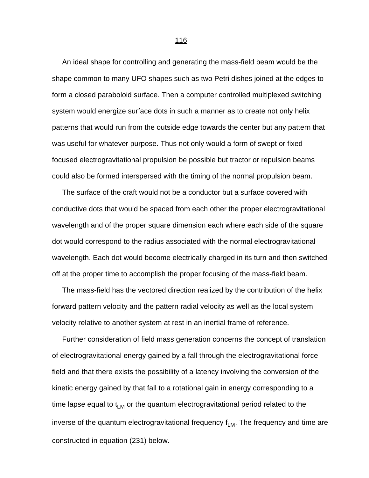An ideal shape for controlling and generating the mass-field beam would be the shape common to many UFO shapes such as two Petri dishes joined at the edges to form a closed paraboloid surface. Then a computer controlled multiplexed switching system would energize surface dots in such a manner as to create not only helix patterns that would run from the outside edge towards the center but any pattern that was useful for whatever purpose. Thus not only would a form of swept or fixed focused electrogravitational propulsion be possible but tractor or repulsion beams could also be formed interspersed with the timing of the normal propulsion beam.

 The surface of the craft would not be a conductor but a surface covered with conductive dots that would be spaced from each other the proper electrogravitational wavelength and of the proper square dimension each where each side of the square dot would correspond to the radius associated with the normal electrogravitational wavelength. Each dot would become electrically charged in its turn and then switched off at the proper time to accomplish the proper focusing of the mass-field beam.

 The mass-field has the vectored direction realized by the contribution of the helix forward pattern velocity and the pattern radial velocity as well as the local system velocity relative to another system at rest in an inertial frame of reference.

 Further consideration of field mass generation concerns the concept of translation of electrogravitational energy gained by a fall through the electrogravitational force field and that there exists the possibility of a latency involving the conversion of the kinetic energy gained by that fall to a rotational gain in energy corresponding to a time lapse equal to  $t_{LM}$  or the quantum electrogravitational period related to the inverse of the quantum electrogravitational frequency  $f_{LM}$ . The frequency and time are constructed in equation (231) below.

116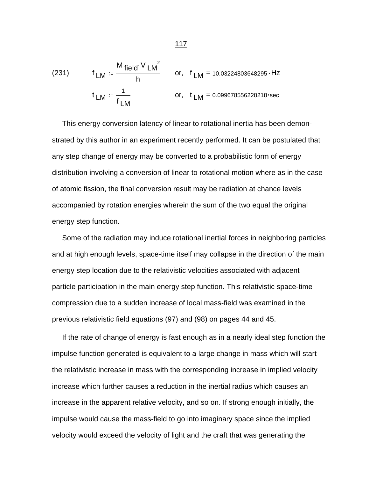(231) 
$$
f_{LM} = \frac{M_{field} \cdot V_{LM}^2}{h}
$$
 or,  $f_{LM} = 10.03224803648295 \cdot Hz$   
\n $t_{LM} = \frac{1}{f_{LM}}$  or,  $t_{LM} = 0.099678556228218 \cdot sec$ 

 This energy conversion latency of linear to rotational inertia has been demonstrated by this author in an experiment recently performed. It can be postulated that any step change of energy may be converted to a probabilistic form of energy distribution involving a conversion of linear to rotational motion where as in the case of atomic fission, the final conversion result may be radiation at chance levels accompanied by rotation energies wherein the sum of the two equal the original energy step function.

 Some of the radiation may induce rotational inertial forces in neighboring particles and at high enough levels, space-time itself may collapse in the direction of the main energy step location due to the relativistic velocities associated with adjacent particle participation in the main energy step function. This relativistic space-time compression due to a sudden increase of local mass-field was examined in the previous relativistic field equations (97) and (98) on pages 44 and 45.

 If the rate of change of energy is fast enough as in a nearly ideal step function the impulse function generated is equivalent to a large change in mass which will start the relativistic increase in mass with the corresponding increase in implied velocity increase which further causes a reduction in the inertial radius which causes an increase in the apparent relative velocity, and so on. If strong enough initially, the impulse would cause the mass-field to go into imaginary space since the implied velocity would exceed the velocity of light and the craft that was generating the